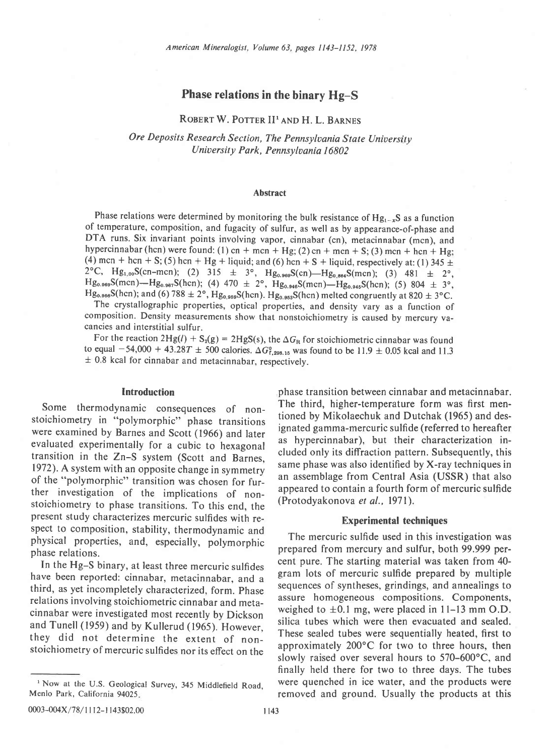# Phase relations in the binary Hg-S

# ROBERT W. POTTER II<sup>I</sup> AND H. L. BARNES

# Ore Deposits Research Section, The Pennsylvania State University University Park, Pennsylvania 16802

### Abstract

Phase relations were determined by monitoring the bulk resistance of  $Hg_{1-x}S$  as a function of temperature, composition, and fugacity of sulfur, as well as by appearance-of-phase and DTA runs. Six invariant points involving vapor, cinnabar (cn), metacinnabar (mcn), and hypercinnabar (hcn) were found: (1) cn + mcn + Hg; (2) cn + mcn + S; (3) mcn + hcn + Hg; (4) mcn + hcn + S; (5) hcn + Hg + liquid; and (6) hcn + S + liquid, respectively at: (1) 345  $\pm$ 2°C, Hg<sub>1,00</sub>S(cn-mcn); (2) 315  $\pm$  3°, Hg<sub>0.969</sub>S(cn)-Hg<sub>0.864</sub>S(mcn); (3) 481  $\pm$  2°,  $Hg_{0.969}S(mcn)$ - $Hg_{0.967}S(hcn)$ ; (4) 470  $\pm$  2°,  $Hg_{0.946}S(mcn)$ - $Hg_{0.945}S(hcn)$ ; (5) 804  $\pm$  3°,  $Hg_{0.966}S(hcn)$ ; and (6) 788  $\pm 2^{\circ}$ ,  $Hg_{0.959}S(hcn)$ .  $Hg_{0.955}S(hcn)$  melted congruently at 820  $\pm 3^{\circ}$ C.

The crystallographic properties, optical properties, and density vary as a function of composition. Density measurements show that nonstoichiometry is caused by mercury vacancies and interstitial sulfur.

For the reaction  $2Hg(l) + S_2(g) = 2HgS(s)$ , the  $\Delta G_R$  for stoichiometric cinnabar was found to equal  $-54,000 + 43.28T \pm 500$  calories.  $\Delta G_{1,298.15}^0$  was found to be 11.9  $\pm$  0.05 kcal and 11.3  $\pm$  0.8 kcal for cinnabar and metacinnabar, respectively.

#### **Introduction**

Some thermodynamic consequences of nonstoichiometry in "polymorphic" phase transitions were examined by Barnes and Scott (1966) and later evaluated experimentally for a cubic to hexagonal transition in the Zn-S system (Scott and Barnes, 1972). A system with an opposite change in symmetry of the "polymorphic" transition was chosen for further investigation of the implications of nonstoichiometry to phase transitions. To this end, the present study characterizes mercuric sulfides with respect to composition, stability, thermodynamic and physical properties, and, especially, polymorphic phase relations.

In the Hg-S binary, at least three mercuric sulfides have been reported: cinnabar, metacinnabar, and a third, as yet incompletely characterized, form. phase relations involving stoichiometric cinnabar and metacinnabar were investigated most recently by Dickson and Tunell (1959) and by Kullerud (1965). However, they did not determine the extent of nonstoichiometry of mercuric sulfides nor its effect on the

phase transition between cinnabar and metacinnabar. The third, higher-temperature form was first mentioned by Mikolaechuk and Dutchak (1965) and designated gamma-mercuric sulfide (referred to hereafter as hypercinnabar), but their characterization included only its diffraction pattern. Subsequently, this same phase was also identified by X-ray techniques in an assemblage from Central Asia (USSR) that also appeared to contain a fourth form of mercuric sulfide (Protodyakonova et al., l97l).

#### Experimental techniques

The mercuric sulfide used in this investigation was prepared from mercury and sulfur, both 99.999 percent pure. The starting material was taken from 40 gram lots of mercuric sulfide prepared by multiple sequences of syntheses, grindings, and annealings to assure homogeneous compositions. Compohents, weighed to  $\pm 0.1$  mg, were placed in 11-13 mm O.D. silica tubes which were then evacuated and sealed. These sealed tubes were sequentially heated, first to approximately 200'C for two to three hours, then slowly raised over several hours to  $570-600^{\circ}$ C, and finally held there for two to three days. The tubes were quenched in ice water, and the products were removed and ground. Usually the products at this

<sup>&</sup>lt;sup>1</sup> Now at the U.S. Geological Survey, 345 Middlefield Road, Menlo Park, California 94025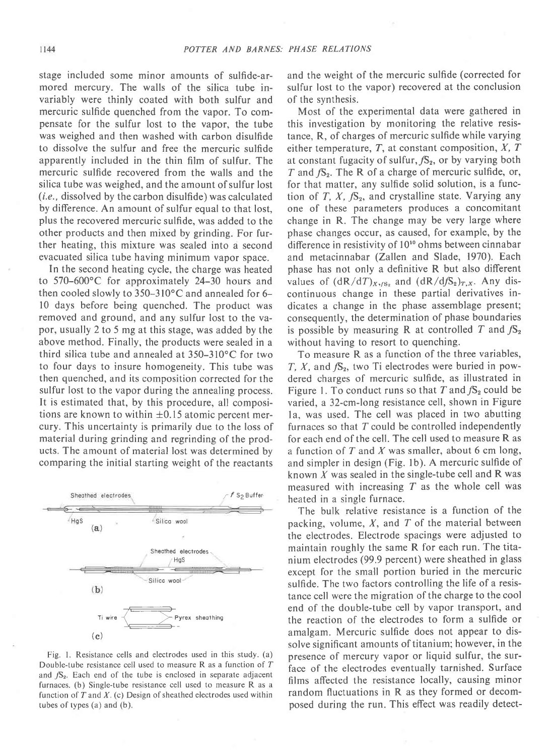stage included some minor amounts of sulfide-armored mercury. The walls of the silica tube invariably were thinly coated with both sulfur and mercuric sulfide quenched from the vapor. To compensate for the sulfur lost to the vapor, the tube was weighed and then washed with carbon disulfide to dissolve the sulfur and free the mercuric sulfide apparently included in the thin film of sulfur. The mercuric sulfide recovered from the walls and the silica tube was weighed, and the amount of sulfur lost (i.e., dissolved by the carbon disulfide) was calculated by difference . An amount of sulfur equal to that lost, plus the recovered mercuric sulfide, was added to the other products and then mixed by grinding. For further heating, this mixture was sealed into a second evacuated silica tube having minimum vapor space.

In the second heating cycle, the charge was heated to 570-600'C for approximately 24-30 hours and then cooled slowly to  $350-310^{\circ}$ C and annealed for 6l0 days before being quenched. The product was removed and ground, and any sulfur lost to the vapor, usually 2 to 5 mg at this stage, was added by the above method. Finally, the products were sealed in a third silica tube and annealed at 350-310'C for two to four days to insure homogeneity. This tube was then quenched, and its composition corrected for the sulfur lost to the vapor during the annealing process. It is estimated that, by this procedure, all compositions are known to within  $\pm 0.15$  atomic percent mercury. This uncertainty is primarily due to the loss of material during grinding and regrinding of the products. The amount of material lost was determined by comparing the initial starting weight of the reactants



Fig. l. Resistance cells and electrodes used in this study. (a) Double-tube resistance cell used to measure R as a function of T and  $fS_2$ . Each end of the tube is enclosed in separate adjacent furnaces. (b) Single-tube resistance cell used to measure R as a function of  $T$  and  $X$ . (c) Design of sheathed electrodes used within tubes of types (a) and (b).

and the weight of the mercuric sulfide (corrected for sulfur lost to the vapor) recovered at the conclusion of the synthesis.

Most of the experimental data were gathered in this investigation by monitoring the relative resistance, R, of charges of mercuric sulfide while varying either temperature,  $T$ , at constant composition,  $X$ ,  $T$ at constant fugacity of sulfur,  $fS_2$ , or by varying both T and  $fS_2$ . The R of a charge of mercuric sulfide, or, for that matter, any sulfide solid solution, is a function of T, X,  $fS_2$ , and crystalline state. Varying any one of these parameters produces a concomitant change in R. The change may be very large where phase changes occur, as caused, for example, by the difference in resistivity of 10<sup>10</sup> ohms between cinnabar and metacinnabar (Zallen and Slade, 1970). Each phase has not only a definitive R but also different values of  $(dR/dT)_{X,\text{fS}_2}$  and  $(dR/dfS_2)_{T,X}$ . Any discontinuous change in these partial derivatives indicates a change in the phase assemblage present; consequently, the determination of phase boundaries is possible by measuring R at controlled T and  $fS_2$ without having to resort to quenching.

To measure R as a function of the three variables, T, X, and  $\mathcal{S}_2$ , two Ti electrodes were buried in powdered charges of mercuric sulfide, as illustrated in Figure 1. To conduct runs so that T and  $fS_2$  could be varied, a 32-cm-long resistance cell, shown in Figure la, was used. The cell was placed in two abutting furnaces so that  $T$  could be controlled independently for each end of the cell. The cell used to measure R as a function of  $T$  and  $X$  was smaller, about 6 cm long, and simpler in design (Fig. lb). A mercuric sulfide of known  $X$  was sealed in the single-tube cell and  $\bf{R}$  was measured with increasing  $T$  as the whole cell was heated in a single furnace.

The bulk relative resistance is a function of the packing, volume,  $X$ , and  $T$  of the material between the electrodes. Electrode spacings were adjusted to maintain roughly the same R for each run. The titanium electrodes (99.9 percent) were sheathed in glass except for the small portion buried in the mercuric sulfide. The two factors controlling the life of a resistance cell were the migration of the charge to the cool end of the double-tube cell by vapor transport, and the reaction of the electrodes to form a sulfide or amalgam. Mercuric sulfide does not appear to dissolve significant amounts of titanium; however, in the presence of mercury vapor or liquid sulfur, the surface of the electrodes eventually tarnished. Surface films affected the resistance locally, causing minor random fluctuations in R as they formed or decomposed during the run. This effect was readily detect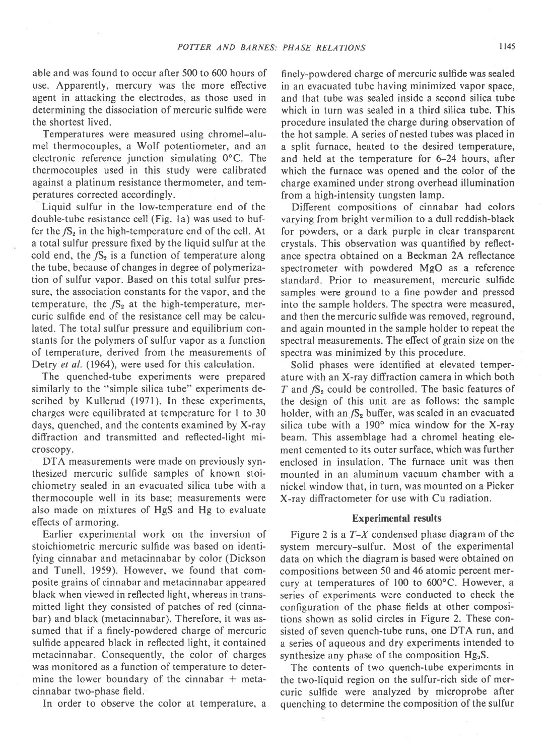able and was found to occur after 500 to 600 hours of use. Apparently, mercury was the more effective agent in attacking the electrodes, as those used in determining the dissociation of mercuric sulfide were the shortest lived.

Temperatures were measured using chromel-alumel thermocouples, a Wolf potentiometer, and an electronic reference junction simulating  $0^{\circ}$ C. The thermocouples used in this study were calibrated against a platinum resistance thermometer, and temperatures corrected accordingly.

Liquid sulfur in the low-temperature end of the double-tube resistance cell (Fig. la) was used to buffer the  $fS_2$  in the high-temperature end of the cell. At a total sulfur pressure fixed by the liquid sulfur at the cold end, the  $fS_2$  is a function of temperature along the tube, because of changes in degree of polymerization of sulfur vapor. Based on this total sulfur pressure, the association constants for the vapor, and the temperature, the  $fS_2$  at the high-temperature, mercuric sulfide end of the resistance cell may be calculated. The total sulfur pressure and equilibrium constants for the polymers of sulfur vapor as a function of temperature, derived from the measurements of Detry et al. (1964), were used for this calculation.

The quenched-tube experiments were prepared similarly to the "simple silica tube" experiments described by Kullerud (1971). In these experiments, charges were equilibrated at temperature for I to 30 days, quenched, and the contents examined by X-ray diffraction and transmitted and reflected-light microscopy.

DTA measurements were made on previously synthesized mercuric sulfide samples of known stoichiometry sealed in an evacuated silica tube with a thermocouple well in its base; measurements were also made on mixtures of HgS and Hg to evaluate effects of armoring.

Earlier experimental work on the inversion of stoichiometric mercuric sulfide was based on identifying cinnabar and metacinnabar by color (Dickson and Tunell, 1959). However, we found that composite grains of cinnabar and metacinnabar appeared black when viewed in reflected light, whereas in transmitted light they consisted of patches of red (cinnabar) and black (metacinnabar). Therefore, it was assumed that if a finely-powdered charge of mercuric sulfide appeared black in reflected light, it contained metacinnabar. Consequently, the color of charges was monitored as a function of temperature to determine the lower boundary of the cinnabar  $+$  metacinnabar two-phase field.

In order to observe the color at temperature, a

finely-powdered charge of mercuric sulfide was sealed in an evacuated tube having minimized vapor space, and that tube was sealed inside a second silica tube which in turn was sealed in a third silica tube. This procedure insulated the charge during observation of the hot sample. A series of nested tubes was placed in a split furnace, heated to the desired temperature, and held at the temperature for 6-24 hours, after which the furnace was opened and the color of the charge examined under strong overhead illumination from a high-intensity tungsten lamp.

Different compositions of cinnabar had colors varying from bright vermilion to a dull reddish-black for powders, or a dark purple in clear transparent crystals. This observation was quantified by reflectance spectra obtained on a Beckman 2A reflectance spectrometer with powdered MgO as a reference standard. Prior to measurement, mercuric sulfide samples were ground to a fine powder and pressed into the sample holders. The spectra were measured, and then the mercuric sulfide was removed, reground, and again mounted in the sample holder to repeat the spectral measurements. The effect of grain size on the spectra was minimized by this procedure.

Solid phases were identified at elevated temperature with an X-ray diffraction camera in which both T and  $fS_2$  could be controlled. The basic features of the design of this unit are as follows: the sample holder, with an  $fS_2$  buffer, was sealed in an evacuated silica tube with a  $190^\circ$  mica window for the X-ray beam. This assemblage had a chromel heating element cemented to its outer surface, which was further enclosed in insulation. The furnace unit was then mounted in an aluminum vacuum chamber with a nickel window that, in turn, was mounted on a Picker X-ray diffractometer for use with Cu radiation.

### Experimental results

Figure 2 is a  $T-X$  condensed phase diagram of the system mercury-sulfur. Most of the experimental data on which the diagram is based were obtained on compositions between 50 and 46 atomic percent mercury at temperatures of 100 to 600'C. However, a series of experiments were conducted to check the configuration of the phase fields at other compositions shown as solid circles in Figure 2. These consisted of seven quench-tube runs, one DTA run, and a series of aqueous and dry experiments intended to synthesize any phase of the composition  $Hg_2S$ .

The contents of two quench-tube experiments in the two-liquid region on the sulfur-rich side of mercuric sulfide were analyzed by microprobe after quenching to determine the composition of the sulfur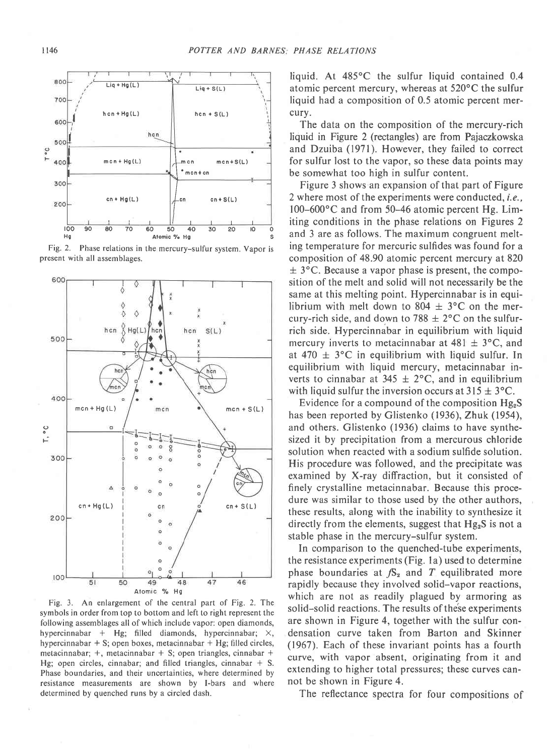

Fig. 2. Phase relations in the mercury-sulfur system. Vapor is present with all assemblages.



Fig. 3. An enlargement of the central part of Fig. 2. The symbols in order from top to bottom and left to right represent the following assemblages all of which include vapor: open diamonds, hypercinnabar + Hg; filled diamonds, hypercinnabar;  $\times$ , hypercinnabar  $+$  S; open boxes, metacinnabar  $+$  Hg; filled circles, metacinnabar;  $+$ , metacinnabar  $+$  S; open triangles, cinnabar  $+$ Hg; open circles, cinnabar; and filled triangles, cinnabar  $+$  S. Phase boundaries, and their uncertainties, where determined by resistance measurements are shown by l-bars and where determined by quenched runs by a circled dash.

liquid. At 485'C the sulfur liquid contained 0.4 atomic percent mercury, whereas at  $520^{\circ}$ C the sulfur liquid had a composition of 0.5 atomic percent mercury.

The data on the composition of the mercury-rich liquid in Figure 2 (rectangles) are from Pajaczkowska and Dzuiba (1971). However, they failed to correct for sulfur lost to the vapor, so these data points may be somewhat too high in sulfur content.

Figure 3 shows an expansion of that part of Figure 2 where most of the experiments were conducted, *i.e.*, 100-600'C and from 50-46 atomic percent Hg. Limiting conditions in the phase relations on Figures 2 and 3 are as follows. The maximum congruent melting temperature for mercuric sulfides was found for a composition of 48.90 atomic percent mercury at820  $\pm$  3°C. Because a vapor phase is present, the composition of the melt and solid will not necessarily be the same at this melting point. Hypercinnabar is in equilibrium with melt down to 804  $\pm$  3°C on the mercury-rich side, and down to 788  $\pm$  2°C on the sulfurrich side. Hypercinnabar in equilibrium with liquid mercury inverts to metacinnabar at  $481 \pm 3$ °C, and at 470  $\pm$  3°C in equilibrium with liquid sulfur. In equilibrium with liquid mercury, metacinnabar inverts to cinnabar at  $345 \pm 2$ °C, and in equilibrium with liquid sulfur the inversion occurs at  $315 \pm 3$ °C.

Evidence for a compound of the composition  $Hg_2S$ has been reported by Glistenko (1936), Zhuk (1954), and others. Glistenko (1936) claims to have synthesized it by precipitation from a mercurous chloride solution when reacted with a sodium sulfide solution. His procedure was followed, and the precipitate was examined by X-ray diffraction, but it consisted of finely crystalline metacinnabar. Because this procedure was similar to those used by the other authors, these results, along with the inability to synthesize it directly from the elements, suggest that  $Hg_2S$  is not a stable phase in the mercury-sulfur system.

In comparison to the quenched-tube experiments, the resistance experiments (Fig. la) used to determine phase boundaries at  $fS_2$  and T equilibrated more rapidly because they involved solid-vapor reactions, which are not as readily plagued by armoring as solid-solid reactions. The results of these experiments are shown in Figure 4, together with the sulfur condensation curve taken from Barton and Skinner (1967). Each of these invariant points has a fourth curve, with vapor absent, originating from it and extending to higher total pressures; these curves cannot be shown in Figure 4.

The reflectance spectra for four compositions of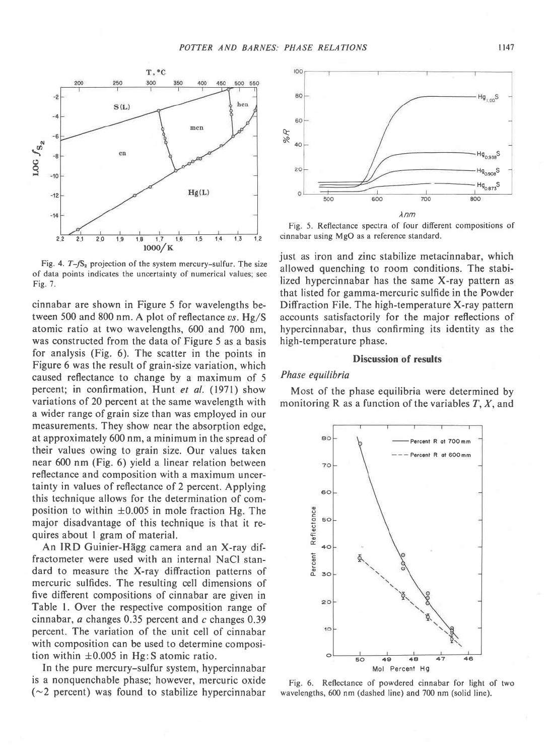

Fig. 4.  $T-\sqrt{S_2}$  projection of the system mercury-sulfur. The size of data points indicates the uncertainty of numerical values; see Fig. 7.

cinnabar are shown in Figure 5 for wavelengths between 500 and 800 nm. A plot of reflectance  $vs.$  Hg/S atomic ratio at two wavelengths, 600 and 700 nm, was constructed from the data of Figure 5 as a basis for analysis (Fig. 6). The scatter in the points in Figure 6 was the result of grain-size variation, which caused reflectance to change by a maximum of 5 percent; in confirmation, Hunt et al. (1971) show variations of 20 percent at the same wavelength with a wider range of grain size than was employed in our measurements. They show near the absorption edge, at approximately 600 nm, a minimum in the spread of their values owing to grain size. Our values taken near 600 nm (Fig. 6) yield a linear relation between reflectance and composition with a maximum uncertainty in values of reflectance of 2 percent. Applying this technique allows for the determination of composition to within  $\pm 0.005$  in mole fraction Hg. The major disadvantage of this technique is that it requires about I gram of material.

An IRD Guinier-Hägg camera and an X-ray diffractometer were used with an internal NaCl standard to measure the X-ray diffraction patterns of mercuric sulfides. The resulting cell dimensions of five different compositions of cinnabar are given in Table l. Over the respective composition range of cinnabar,  $a$  changes 0.35 percent and  $c$  changes 0.39 percent. The variation of the unit cell of cinnabar with composition can be used to determine composition within  $\pm 0.005$  in Hg: S atomic ratio.

In the pure mercury-sulfur system, hypercinnabar is a nonquenchable phase; however, mercuric oxide  $(\sim 2$  percent) was found to stabilize hypercinnabar



Fig. 5. Reflectance spectra of four different compositions of cinnabar using MgO as a reference standard.

just as iron and zinc stabilize metacinnabar, which allowed quenching to room conditions. The stabilized hypercinnabar has the same X-ray pattern as that listed for gamma-mercuric sulfide in the Powder Diffraction File. The high-temperature X-ray pattern accounts satisfactorily for the major reflections of hypercinnabar, thus confirming its identity as the high-temperature phase.

### Discussion of results

#### Phase equilibria

Most of the phase equilibria were determined by monitoring R as a function of the variables  $T$ ,  $X$ , and



Fig. 6. Reflectance of powdered cinnabar for light of two wavelengths, 600 nm (dashed line) and 700 nm (solid line).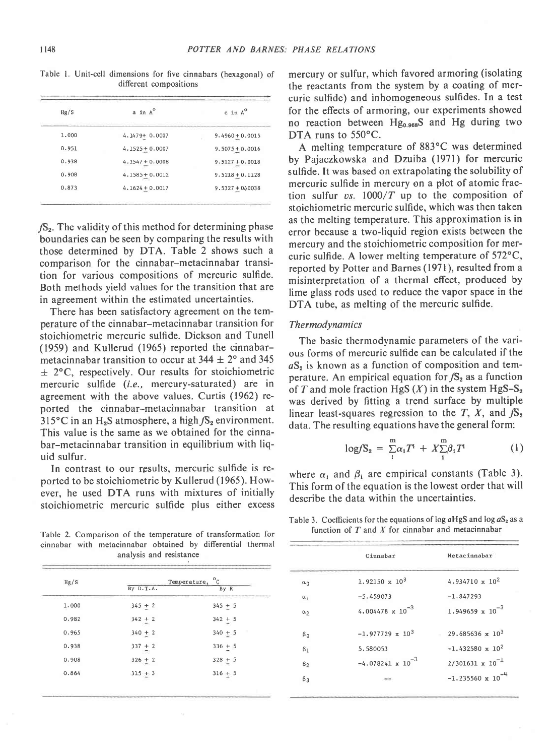Table l. Unit-cell dimensions for five cinnabars (hexagonal) of different compositions

| Hg/S  | a in A <sup>o</sup> | $c$ in $A^0$               |  |
|-------|---------------------|----------------------------|--|
| 1,000 | $4.1479 + 0.0007$   | $9.4960 + 0.0015$          |  |
| 0.951 | $4.1525 + 0.0007$   | $9.5075 + 0.0016$          |  |
| 0.938 | $4.1547 + 0.0008$   | $9.5127 + 0.0018$          |  |
| 0.908 | $4.1585 + 0.0012$   | $9.5218 + 0.1128$          |  |
| 0.873 | $4.1624 + 0.0017$   | $9.5327 + 0\triangle 0038$ |  |

 $/S<sub>2</sub>$ . The validity of this method for determining phase boundaries can be seen by comparing the results with those determined by DTA. Table 2 shows such a comparison for the cinnabar-metacinnabar transition for various compositions of mercuric sulfide. Both methods yield values for the transition that are in agreement within the estimated uncertainties.

There has been satisfactory agreement on the temperature of the cinnabar-metacinnabar transition for stoichiometric mercuric sulfide. Dickson and Tunell (1959) and Kullerud (1965) reported the cinnabarmetacinnabar transition to occur at  $344 \pm 2^{\circ}$  and  $345$  $\pm$  2°C, respectively. Our results for stoichiometric mercuric sulfide (f.e., mercury-saturated) are in agreement with the above values. Curtis (1962) reported the cinnabar-metacinnabar tansition at 315 $\rm ^{\circ}C$  in an H<sub>2</sub>S atmosphere, a high  $fS_2$  environment. This value is the same as we obtained for the cinnabar-metacinnabar transition in equilibrium with liquid sulfur.

In contrast to our results, mercuric sulfide is reported to be stoichiometric by Kullerud (1965). However, he used DTA runs with mixtures of initially stoichiometric mercuric sulfide plus either excess

Table 2. Comparison of the temperature of transformation for cinnabar with metacinnabar obtained by differential thermal analysis and resistance

| Hg/S  | Temperature, | $^{\circ}$ c |  |
|-------|--------------|--------------|--|
|       | By D.T.A.    | By R         |  |
| 1.000 | $345 + 2$    | $345 + 5$    |  |
| 0.982 | $342 + 2$    | $342 + 5$    |  |
| 0.965 | $340 + 2$    | $340 + 5$    |  |
| 0.938 | $337 + 2$    | $336 + 5$    |  |
| 0.908 | $326 + 2$    | $328 + 5$    |  |
| 0.864 | $315 + 3$    | $316 + 5$    |  |

mercury or sulfur, which favored armoring (isolating the reactants from the system by a coating of mercuric sulfide) and inhomogeneous sulfides. In a test for the effects of armoring, our experiments showed no reaction between  $Hg_{0.968}S$  and Hg during two DTA runs to 550°C.

A melting temperature of 883'C was determined by Pajaczkowska and Dzuiba (1971) for mercuric sulfide. It was based on extrapolating the solubility of mercuric sulfide in mercury on a plot of atomic fraction sulfur  $vs. 1000/T$  up to the composition of stoichiometric mercuric sulfide, which was then taken as the melting temperature. This approximation is in error because a two-liquid region exists between the mercury and the stoichiometric composition for mercuric sulfide. A lower melting temperature of  $572^{\circ}$ C, reported by Potter and Barnes (1971), resulted from a misinterpretation of a thermal effect, produced by lime glass rods used to reduce the vapor space in the DTA tube, as melting of the mercuric sulfide.

#### Thermodynamics

The basic thermodynamic parameters of the various forms of mercuric sulfide can be calculated if the  $aS<sub>2</sub>$  is known as a function of composition and temperature. An empirical equation for  $fS<sub>2</sub>$  as a function of T and mole fraction HgS  $(X)$  in the system HgS-S<sub>2</sub> was derived by fitting a trend surface by multiple linear least-squares regression to the T, X, and  $fS_2$ data. The resulting equations have the general form:

$$
\log f S_2 = \sum_{i}^{m} \alpha_i T^i + X \sum_{i}^{m} \beta_i T^i \tag{1}
$$

where  $\alpha_i$  and  $\beta_i$  are empirical constants (Table 3). This form of the equation is the lowest order that will describe the data within the uncertainties.

Table 3. Coefficients for the equations of log  $aHgS$  and log  $aS<sub>2</sub>$  as a function of  $T$  and  $X$  for cinnabar and metacinnabar

|                       | Cinnabar                   | Metacinnabar               |
|-----------------------|----------------------------|----------------------------|
| $\alpha_0$            | $1.92150 \times 10^3$      | $4.934710 \times 10^{2}$   |
| $\alpha_1$            | $-5.459073$                | $-1.847293$                |
| $\alpha$ <sub>2</sub> | $4.004478 \times 10^{-3}$  | $1.949659 \times 10^{-3}$  |
| $\beta_0$             | $-1.977729 \times 10^{3}$  | $29.685636 \times 10^3$    |
| $\beta_1$             | 5.580053                   | $-1.432580 \times 10^{2}$  |
| $\beta$               | $-4.078241 \times 10^{-3}$ | $2/301631 \times 10^{-1}$  |
| $\beta_3$             |                            | $-1.235560 \times 10^{-4}$ |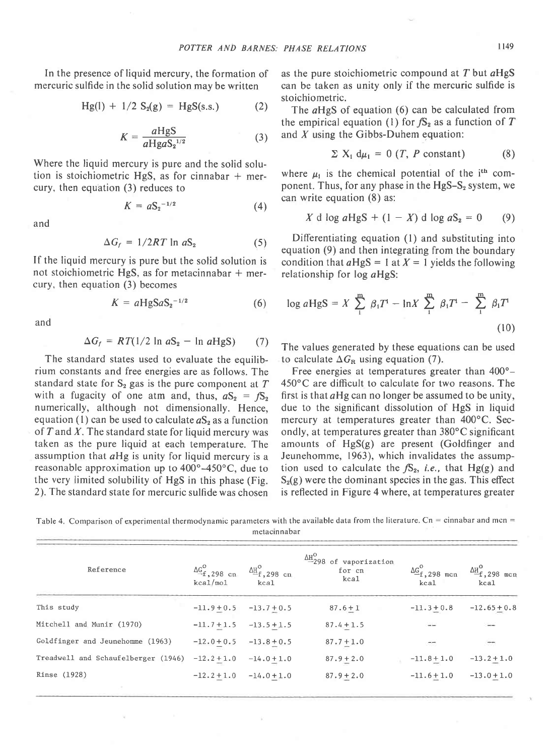In the presence of liquid mercury, the formation of mercuric sulfide in the solid solution may be written

$$
Hg(1) + 1/2 S_2(g) = HgS(s.s.)
$$
 (2)

$$
K = \frac{aHgS}{aHgaS_2^{1/2}}
$$
 (3)

Where the liquid mercury is pure and the solid solution is stoichiometric HgS, as for cinnabar  $+$  mercury, then equation (3) reduces to

$$
K = aS_2^{-1/2} \tag{4}
$$

and

$$
\Delta G_f = 1/2RT \ln aS_2 \tag{5}
$$

If the liquid mercury is pure but the solid solution is not stoichiometric HgS, as for metacinnabar  $+$  mercury, then equation (3) becomes

$$
K = aHgSaS_2^{-1/2} \tag{6}
$$

and

$$
\Delta G_f = RT(1/2 \ln aS_2 - \ln aHgS) \qquad (7)
$$

The standard states used to evaluate the equilibrium constants and free energies are as follows. The standard state for  $S_2$  gas is the pure component at  $T$ with a fugacity of one atm and, thus,  $aS_2 = fS_2$ numerically, although not dimensionally. Hence, equation (1) can be used to calculate  $aS_2$  as a function of  $T$  and  $X$ . The standard state for liquid mercury was taken as the pure liquid at each temperature. The assumption that aHg is unity for liquid mercury is a reasonable approximation up to  $400^{\circ}$ -450 $^{\circ}$ C, due to the very limited solubility of HgS in this phase (Fig. 2). The standard state for mercuric sulfide was chosen

as the pure stoichiometric compound at  $T$  but  $aHgS$ can be taken as unity only if the mercuric sulfide is stoichiometric.

The aHgS of equation (6) can be calculated from the empirical equation (1) for  $fS_2$  as a function of T and  $X$  using the Gibbs-Duhem equation:

$$
\sum X_i \, d\mu_i = 0 \, (T, \, P \text{ constant}) \tag{8}
$$

where  $\mu_1$  is the chemical potential of the i<sup>th</sup> component. Thus, for any phase in the  $HgS-S_2$  system, we can write equation (8) as:

$$
X \, \mathrm{d} \, \log a \, \mathrm{Hg} \, \mathrm{S} + (1 - X) \, \mathrm{d} \, \log a \, \mathrm{S}_2 = 0 \qquad (9)
$$

Differentiating equation (l) and substituting into equation (9) and then integrating from the boundary condition that  $aHgS = 1$  at  $X = 1$  yields the following relationship for log aHgS:

$$
\log aHgS = X \sum_{i}^m \beta_i T^i - \ln X \sum_{i}^m \beta_i T^i - \sum_{i}^m \beta_i T^i
$$
\n(10)

The values generated by these equations can be used to calculate  $\Delta G_R$  using equation (7).

Free energies at temperatures greater than  $400^{\circ}$ -450'C are difficult to calculate for two reasons. The first is that  $aHg$  can no longer be assumed to be unity, due to the significant dissolution of HgS in liquid mercury at temperatures greater than  $400^{\circ}$ C. Secondly, at temperatures greater than 380°C significant amounts of HgS(g) are present (Goldfinger and Jeunehomme, 1963), which invalidates the assumption used to calculate the  $\mathcal{S}_2$ , *i.e.*, that Hg(g) and  $S_2(g)$  were the dominant species in the gas. This effect is reflected in Figure 4 where, at temperatures greater

Table 4. Comparison of experimental thermodynamic parameters with the available data from the literature. Cn = cinnabar and mcn = metacinnabar

| Reference                           | $\triangle^{G^O}_{-f}$ , 298 cn<br>kca1/mol | $\Delta H_{-f, 298 \text{ cm}}^{\circ}$<br>kcal | $\frac{\Delta \rm{H}^O}{2}$ 298 of vaporization<br>for cn<br>kca1 | $\Delta \underline{G}^{\circ}_{f, 298 \text{ men}}$<br>kcal | $\frac{\Delta H^{\circ}}{f}$ , 298 mcn<br>kcal |
|-------------------------------------|---------------------------------------------|-------------------------------------------------|-------------------------------------------------------------------|-------------------------------------------------------------|------------------------------------------------|
| This study                          |                                             | $-11.9 + 0.5 -13.7 + 0.5$                       | $87.6 + 1$                                                        | $-11.3 + 0.8$                                               | $-12.65 + 0.8$                                 |
| Mitchell and Munir (1970)           | $-11.7 + 1.5$                               | $-13.5 + 1.5$                                   | $87.4 + 1.5$                                                      | $\overline{a}$                                              | $-$                                            |
| Goldfinger and Jeunehomme (1963)    | $-12.0 + 0.5$ $-13.8 + 0.5$                 |                                                 | $87.7 + 1.0$                                                      | ÷                                                           | $-$                                            |
| Treadwell and Schaufelberger (1946) |                                             | $-12.2 + 1.0 -14.0 + 1.0$                       | $87.9 + 2.0$                                                      | $-11.8 + 1.0$                                               | $-13.2 + 1.0$                                  |
| Rinse (1928)                        |                                             | $-12.2 + 1.0 -14.0 + 1.0$                       | $87.9 + 2.0$                                                      | $-11.6 + 1.0$                                               | $-13.0 + 1.0$                                  |
|                                     |                                             |                                                 |                                                                   |                                                             |                                                |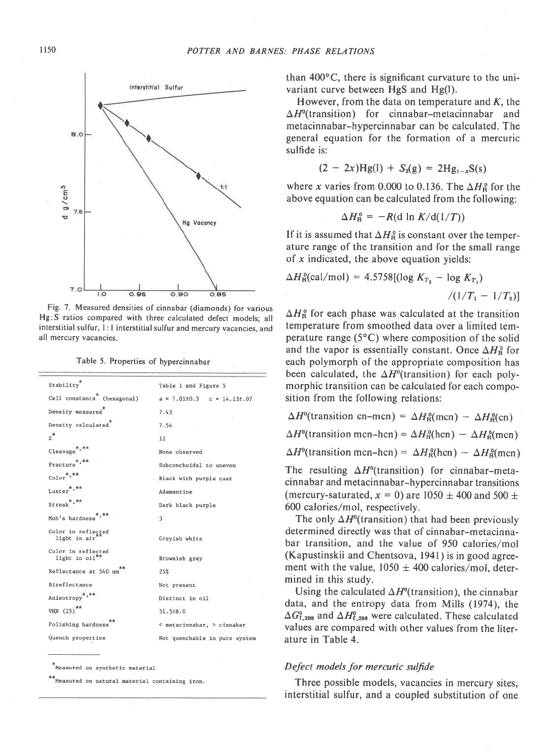

Fig. 7. Measured densities of cinnabar (diamonds) for various Hg:S ratios compared with three calculated defect models; all interstitial sulfur, l: I interstitial sulfur and mercurv vacancies. and all mercury vacancies.

Table 5. Properties of hypercinnabar

| Stability                                            | Table 1 and Figure 5               |
|------------------------------------------------------|------------------------------------|
| Cell constants <sup>*</sup> (hexagonal)              | $a = 7.01\pm0.3$ $c = 14.13\pm.07$ |
| Density measured                                     | 7.43                               |
| Density calculated <sup>*</sup>                      | 7.54                               |
| $z^*$                                                | 12                                 |
| Cleavage <sup>*,**</sup>                             | None observed                      |
| Fracture <sup>*,**</sup>                             | Subconchoidal to uneven            |
| $\text{Color}^{\star,\star\star}$                    | Black with purple cast             |
| Luster*,**                                           | Adamantine                         |
| Streak <sup>*,**</sup>                               | Dark black purple                  |
| Moh's hardness <sup>*</sup> '**                      | 3                                  |
| Color in reflected<br>light in air                   | Greyish white                      |
| Color in reflected<br>light in ${oi1}$ <sup>**</sup> | Brownish grey                      |
| Reflectance at 540 nm                                | 25%                                |
| Bireflectance                                        | Not present                        |
| Anisotropy <sup>*,**</sup>                           | Distinct in oil                    |
| VHN $(25)$ <sup>**</sup>                             | 51.5±8.0                           |
| Polishing hardness                                   | < metacinnabar, > cinnabar         |
| Quench properties                                    | Not quenchable in pure system      |
|                                                      |                                    |

\*Measured on synthetic material

Measured on natural material containing iron.

than 400°C, there is significant curvature to the univariant curve between HgS and Hg(l).

However, from the data on temperature and  $K$ , the  $\Delta H^{\circ}$ (transition) for cinnabar-metacinnabar and metacinnabar-hypercinnabar can be calculated. The general equation for the formation of a mercuric sulfide is:

$$
(2 - 2x)Hg(1) + S_2(g) = 2Hg_{1-x}S(s)
$$

where x varies from 0.000 to 0.136. The  $\Delta H_R^0$  for the above equation can be calculated from the following:

$$
\Delta H_{\rm R}^{\rm o} = -R(\text{d} \ln K/\text{d}(1/T))
$$

If it is assumed that  $\Delta H_R^0$  is constant over the temperature range of the transition and for the small range of  $x$  indicated, the above equation yields:

$$
\Delta H_{\rm R}^{\rm o}(\text{cal/mol}) = 4.5758[(\log K_{T_2} - \log K_{T_1})
$$

$$
/(1/T_1 - 1/T_2)]
$$

 $\Delta H_{\rm R}^{\rm o}$  for each phase was calculated at the transition temperature from smoothed data over a limited temperature range  $(5^{\circ}C)$  where composition of the solid and the vapor is essentially constant. Once  $\Delta H_{\rm R}^{\rm o}$  for each polymorph of the appropriate composition has been calculated, the  $\Delta H^{\circ}$ (transition) for each polymorphic transition can be calculated for each composition from the following relations:

 $\Delta H^{\circ}$ (transition cn-mcn) =  $\Delta H^{\circ}_{\text{R}}$ (mcn) -  $\Delta H^{\circ}_{\text{R}}$ (cn)  $\Delta H^{\circ}$ (transition mcn-hcn) =  $\Delta H^{\circ}_{\text{R}}(\text{hcn}) - \Delta H^{\circ}_{\text{R}}(\text{mcn})$  $\Delta H^{\circ}$ (transition mcn-hcn) =  $\Delta H^{\circ}_{\text{R}}$ (hcn) -  $\Delta H^{\circ}_{\text{R}}$ (mcn)

The resulting  $\Delta H^0$ (transition) for cinnabar-metacinnabar and metacinnabar-hypercinnabar transitions (mercury-saturated,  $x = 0$ ) are 1050  $\pm$  400 and 500  $\pm$ 600 calories/mol, respectively.

The only  $\Delta H^{\circ}$ (transition) that had been previously determined directly was that of cinnabar-metacinnabar transition, and the value of 950 calories/mol (Kapustinskii and Chentsova, l94l ) is in good agreement with the value,  $1050 \pm 400$  calories/mol, determined in this study.

Using the calculated  $\Delta H^{\circ}$ (transition), the cinnabar data, and the entropy data from Mills (1974), the  $\Delta G_{\rm f,298}^{\rm o}$  and  $\Delta H_{\rm f,298}^{\rm o}$  were calculated. These calculated values are compared with other values from the literature in Table 4.

# Defect models for mercuric sulfide

Three possible models, vacancies in mercury sites, interstitial sulfur, and a coupled substitution of one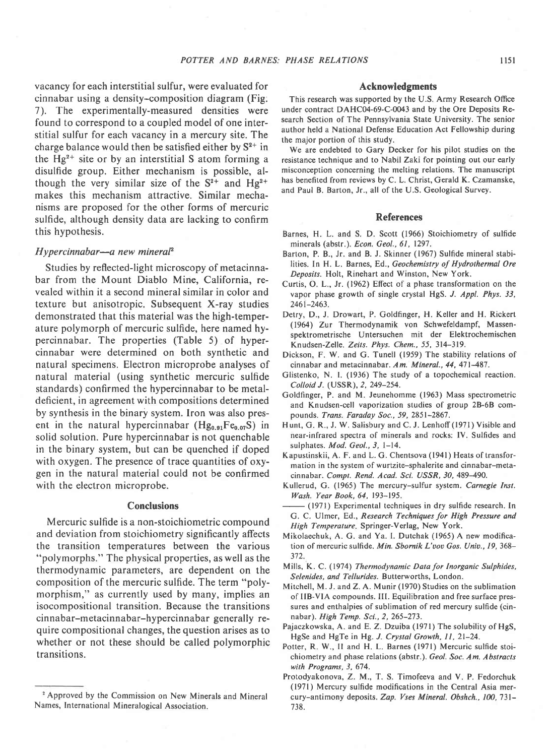vacancy for each interstitial sulfur, were evaluated for cinnabar using a density-composition diagram (Fig: 7). The experimentally-measured densities were found to correspond to a coupled model of one interstitial sulfur for each vacancy in a mercury site. The charge balance would then be satisfied either by  $S^{2+}$  in the  $Hg^{2+}$  site or by an interstitial S atom forming a disulfide group. Either mechanism is possible, although the very similar size of the  $S^{2+}$  and  $Hg^{2+}$ makes this mechanism attractive. Similar mechanisms are proposed for the other forms of mercuric sulfide, although density data are lacking to confirm this hypothesis.

### $Hyperc$ innabar—a new mineral<sup>2</sup>

Studies by reflected-light microscopy of metacinnabar from the Mount Diablo Mine, California, revealed within it a second mineral similar in color and texture but anisotropic. Subsequent X-ray studies demonstrated that this material was the high-temperature polymorph of mercuric sulfide, here named hypercinnabar. The properties (Table 5) of hypercinnabar were determined on both synthetic and natural specimens. Electron microprobe analyses of natural material (using synthetic mercuric sulfide standards) confirmed the hypercinnabar to be metaldeficient, in agreement with compositions determined by synthesis in the binary system. Iron was also present in the natural hypercinnabar ( $Hg_{0.91}Fe_{0.07}S$ ) in solid solution. Pure hypercinnabar is not quenchable in the binary system, but can be quenched if doped with oxygen. The presence of trace quantities of oxygen in the natural material could not be confirmed with the electron microprobe.

# **Conclusions**

Mercuric sulfide is a non-stoichiometric compound and deviation from stoichiometry significantly affects the transition temperatures between the various "polymorphs." The physical properties, as well as the thermodynamic parameters, are dependent on the composition of the mercuric sulfide. The term "polymorphism," as currently used by many, implies an isocompositional transition. Because the transitions cinnabar-metacinnabar-hypercinnabar generally require compositional changes, the question arises as to whether or not these should be called polymorphic transitions.

### Acknowledgments

This research was supported by the U.S. Army Research Office under contract DAHC04-69-C-0043 and by the Ore Deposits Research Section of The Pennsylvania State University. The senior author held a National Defense Education Act Fellowship during the major portion of this study.

We are endebted to Gary Decker for his pilot studies on the resistance technique and to Nabil Zaki fot pointing out our early misconception concerning the melting relations. The manuscript has benefited from reviews by C. L. Christ, Gerald K. Czamanske, and Paul B. Barton, Jr., all of the U.S. Geological Survey.

### References

- Barnes, H. L. and S. D. Scott (1966) Stoichiometry of sulfide minerals (abstr.). Econ. Geol., 6l, 1297.
- Barton, P. B., Jr. and B. J. Skinner (1967) Sulfide mineral stabilities. In H. L. Barnes, Ed., Geochemistry of Hydrothermal Ore Deposits. Holt, Rinehart and Winston, New York.
- Curtis, O. L., Jr. (1962) Effect of a phase transformation on the vapor phase growth of single crystal HgS. J. Appl. Phys. 33, 246t-2463.
- Detry, D., J. Drowart, P. Goldfinger, H. Keller and H. Rickert (1964) Zur Thermodynamik von Schwefeldampf, Massenspektrometrische Untersuchen mit der Elektrochemischen Knudsen-Zelle. Zeits. Phys. Chem., 55, 314-319.
- Dickson, F. W. and G. Tunell (1959) The stability relations of cinnabar and metacinnabar. Am. Mineral.,  $44$ ,  $471-487$ .
- Glistenko, N. I. (1936) The study of a topochemical reaction. Colloid J. (USSR), 2, 249-254.
- Goldfinger, P. and M. Jeunehomme (1963) Mass spectrometric and Knudsen-cell vaporization studies of group 28-68 compounds. Trans. Faraday Soc., 59, 2851-286'1.
- Hunt, G. R., J. W. Salisbury and C. J. Lenhoff (1971) Visible and near-infrared spectra of minerals and rocks: IV. Sulfides and sulphates. Mod. Geol., 3, 1-14.
- Kapustinskii, A. F. and L. G. Chentsova (l94l) Heats of transformation in the system of wurtzite-sphalerite and cinnabar-metacinnabar. Compt. Rend. Acad. Sci. USSR, 30, 489-490.
- Kullerud, G. (1965) The mercury-sulfur system. Carnegie Inst. lVash. Year Book,64, 193-195.
- (1971) Experimental techniques in dry sulfide research. In G. C. Ulmer, Ed., Research Techniques for High Pressure and High Temperature. Springer-Verlag, New York.
- Mikolaechuk; A. G. and Ya. L Dutchak (1965) A new modification of mercuric sulfide. Min. Sbornik L'vov Gos. Univ., 19, 368-372.
- Mills, K. C. (1974) Thermodynamic Data for Inorganic Sulphides, Selenides, and Tellurides. Butterworths, London.
- Mitchell, M. J. and Z. A. Munir (1970) Studies on the sublimation of llB-VlA compounds. III. Equilibration and free surface pressures and enthalpies of sublimation of red mercury sulfide (cinnabar). High Temp. Sci., 2, 265-273.
- Pajaczkowska, A. and E. Z. Dzuiba (1971) The solubility of HgS, HgSe and HgTe in Hg. J. Crystal Growth, 11, 21-24.
- Potter, R. W., II and H. L. Barnes (1971) Mercuric sulfide stoichiometry and phase relations (abstr.). Geol. Soc. Am. Abstracts with Programs, 3, 674.
- Protodyakonova, Z.M., T. S. Timofeeva and V. P. Fedorchuk (1971) Mercury sulfide modifications in the Central Asia mercury-antimony deposits. Zap. Vses Mineral. Obshch., 100, 731-738.

<sup>&</sup>lt;sup>2</sup> Approved by the Commission on New Minerals and Mineral Names, International Mineralogical Association.